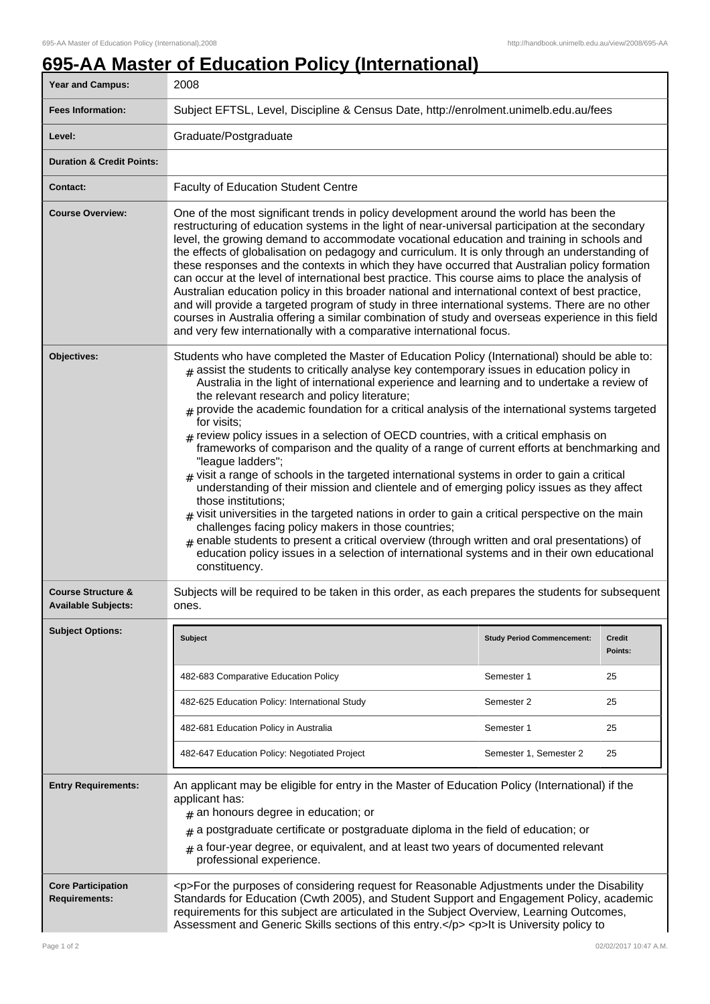## **695-AA Master of Education Policy (International)**

| Year and Campus:                                            | 2008                                                                                                                                                                                                                                                                                                                                                                                                                                                                                                                                                                                                                                                                                                                                                                                                                                                                                                                                                                                                                                                                                                                                                                                                                                                                             |                                   |                          |
|-------------------------------------------------------------|----------------------------------------------------------------------------------------------------------------------------------------------------------------------------------------------------------------------------------------------------------------------------------------------------------------------------------------------------------------------------------------------------------------------------------------------------------------------------------------------------------------------------------------------------------------------------------------------------------------------------------------------------------------------------------------------------------------------------------------------------------------------------------------------------------------------------------------------------------------------------------------------------------------------------------------------------------------------------------------------------------------------------------------------------------------------------------------------------------------------------------------------------------------------------------------------------------------------------------------------------------------------------------|-----------------------------------|--------------------------|
| <b>Fees Information:</b>                                    | Subject EFTSL, Level, Discipline & Census Date, http://enrolment.unimelb.edu.au/fees                                                                                                                                                                                                                                                                                                                                                                                                                                                                                                                                                                                                                                                                                                                                                                                                                                                                                                                                                                                                                                                                                                                                                                                             |                                   |                          |
| Level:                                                      | Graduate/Postgraduate                                                                                                                                                                                                                                                                                                                                                                                                                                                                                                                                                                                                                                                                                                                                                                                                                                                                                                                                                                                                                                                                                                                                                                                                                                                            |                                   |                          |
| <b>Duration &amp; Credit Points:</b>                        |                                                                                                                                                                                                                                                                                                                                                                                                                                                                                                                                                                                                                                                                                                                                                                                                                                                                                                                                                                                                                                                                                                                                                                                                                                                                                  |                                   |                          |
| <b>Contact:</b>                                             | <b>Faculty of Education Student Centre</b>                                                                                                                                                                                                                                                                                                                                                                                                                                                                                                                                                                                                                                                                                                                                                                                                                                                                                                                                                                                                                                                                                                                                                                                                                                       |                                   |                          |
| <b>Course Overview:</b>                                     | One of the most significant trends in policy development around the world has been the<br>restructuring of education systems in the light of near-universal participation at the secondary<br>level, the growing demand to accommodate vocational education and training in schools and<br>the effects of globalisation on pedagogy and curriculum. It is only through an understanding of<br>these responses and the contexts in which they have occurred that Australian policy formation<br>can occur at the level of international best practice. This course aims to place the analysis of<br>Australian education policy in this broader national and international context of best practice,<br>and will provide a targeted program of study in three international systems. There are no other<br>courses in Australia offering a similar combination of study and overseas experience in this field<br>and very few internationally with a comparative international focus.                                                                                                                                                                                                                                                                                             |                                   |                          |
| Objectives:                                                 | Students who have completed the Master of Education Policy (International) should be able to:<br>$#$ assist the students to critically analyse key contemporary issues in education policy in<br>Australia in the light of international experience and learning and to undertake a review of<br>the relevant research and policy literature;<br>$#$ provide the academic foundation for a critical analysis of the international systems targeted<br>for visits;<br>$#$ review policy issues in a selection of OECD countries, with a critical emphasis on<br>frameworks of comparison and the quality of a range of current efforts at benchmarking and<br>"league ladders";<br>visit a range of schools in the targeted international systems in order to gain a critical<br>understanding of their mission and clientele and of emerging policy issues as they affect<br>those institutions;<br>$_{\#}$ visit universities in the targeted nations in order to gain a critical perspective on the main<br>challenges facing policy makers in those countries;<br>enable students to present a critical overview (through written and oral presentations) of<br>education policy issues in a selection of international systems and in their own educational<br>constituency. |                                   |                          |
| <b>Course Structure &amp;</b><br><b>Available Subjects:</b> | Subjects will be required to be taken in this order, as each prepares the students for subsequent<br>ones.                                                                                                                                                                                                                                                                                                                                                                                                                                                                                                                                                                                                                                                                                                                                                                                                                                                                                                                                                                                                                                                                                                                                                                       |                                   |                          |
| <b>Subject Options:</b>                                     | Subject                                                                                                                                                                                                                                                                                                                                                                                                                                                                                                                                                                                                                                                                                                                                                                                                                                                                                                                                                                                                                                                                                                                                                                                                                                                                          | <b>Study Period Commencement:</b> | <b>Credit</b><br>Points: |
|                                                             | 482-683 Comparative Education Policy                                                                                                                                                                                                                                                                                                                                                                                                                                                                                                                                                                                                                                                                                                                                                                                                                                                                                                                                                                                                                                                                                                                                                                                                                                             | Semester 1                        | 25                       |
|                                                             | 482-625 Education Policy: International Study                                                                                                                                                                                                                                                                                                                                                                                                                                                                                                                                                                                                                                                                                                                                                                                                                                                                                                                                                                                                                                                                                                                                                                                                                                    | Semester 2                        | 25                       |
|                                                             | 482-681 Education Policy in Australia                                                                                                                                                                                                                                                                                                                                                                                                                                                                                                                                                                                                                                                                                                                                                                                                                                                                                                                                                                                                                                                                                                                                                                                                                                            | Semester 1                        | 25                       |
|                                                             | 482-647 Education Policy: Negotiated Project                                                                                                                                                                                                                                                                                                                                                                                                                                                                                                                                                                                                                                                                                                                                                                                                                                                                                                                                                                                                                                                                                                                                                                                                                                     | Semester 1, Semester 2            | 25                       |
| <b>Entry Requirements:</b>                                  | An applicant may be eligible for entry in the Master of Education Policy (International) if the<br>applicant has:<br>$#$ an honours degree in education; or<br>a postgraduate certificate or postgraduate diploma in the field of education; or<br>#<br>a four-year degree, or equivalent, and at least two years of documented relevant<br>professional experience.                                                                                                                                                                                                                                                                                                                                                                                                                                                                                                                                                                                                                                                                                                                                                                                                                                                                                                             |                                   |                          |
| <b>Core Participation</b><br><b>Requirements:</b>           | <p>For the purposes of considering request for Reasonable Adjustments under the Disability<br/>Standards for Education (Cwth 2005), and Student Support and Engagement Policy, academic<br/>requirements for this subject are articulated in the Subject Overview, Learning Outcomes,<br/>Assessment and Generic Skills sections of this entry.</p> <p>lt is University policy to</p>                                                                                                                                                                                                                                                                                                                                                                                                                                                                                                                                                                                                                                                                                                                                                                                                                                                                                            |                                   |                          |